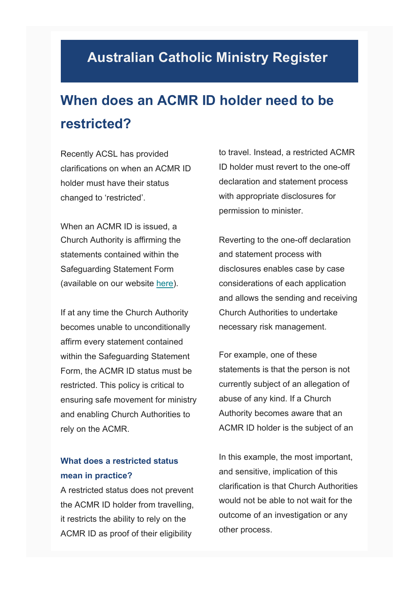## **Australian Catholic Ministry Register**

## **When does an ACMR ID holder need to be restricted?**

Recently ACSL has provided clarifications on when an ACMR ID holder must have their status changed to 'restricted'.

When an ACMR ID is issued, a Church Authority is affirming the statements contained within the Safeguarding Statement Form (available on our website [here\)](https://www.acsltd.org.au/services/australian-catholic-ministry-register/materials-and-forms/).

If at any time the Church Authority becomes unable to unconditionally affirm every statement contained within the Safeguarding Statement Form, the ACMR ID status must be restricted. This policy is critical to ensuring safe movement for ministry and enabling Church Authorities to rely on the ACMR.

## **What does a restricted status mean in practice?**

A restricted status does not prevent the ACMR ID holder from travelling, it restricts the ability to rely on the ACMR ID as proof of their eligibility

to travel. Instead, a restricted ACMR ID holder must revert to the one-off declaration and statement process with appropriate disclosures for permission to minister.

Reverting to the one-off declaration and statement process with disclosures enables case by case considerations of each application and allows the sending and receiving Church Authorities to undertake necessary risk management.

For example, one of these statements is that the person is not currently subject of an allegation of abuse of any kind. If a Church Authority becomes aware that an ACMR ID holder is the subject of an

In this example, the most important, and sensitive, implication of this clarification is that Church Authorities would not be able to not wait for the outcome of an investigation or any other process.